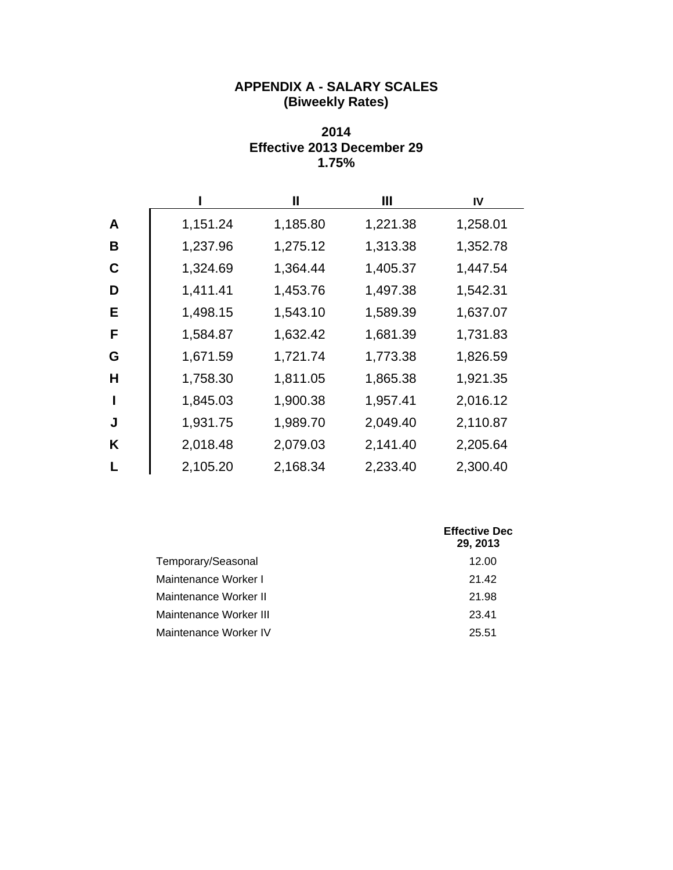## **APPENDIX A - SALARY SCALES (Biweekly Rates)**

### **2014 Effective 2013 December 29 1.75%**

|   |          | Ш        | Ш        | IV       |
|---|----------|----------|----------|----------|
| A | 1,151.24 | 1,185.80 | 1,221.38 | 1,258.01 |
| В | 1,237.96 | 1,275.12 | 1,313.38 | 1,352.78 |
| C | 1,324.69 | 1,364.44 | 1,405.37 | 1,447.54 |
| D | 1,411.41 | 1,453.76 | 1,497.38 | 1,542.31 |
| Е | 1,498.15 | 1,543.10 | 1,589.39 | 1,637.07 |
| F | 1,584.87 | 1,632.42 | 1,681.39 | 1,731.83 |
| G | 1,671.59 | 1,721.74 | 1,773.38 | 1,826.59 |
| Н | 1,758.30 | 1,811.05 | 1,865.38 | 1,921.35 |
|   | 1,845.03 | 1,900.38 | 1,957.41 | 2,016.12 |
| J | 1,931.75 | 1,989.70 | 2,049.40 | 2,110.87 |
| K | 2,018.48 | 2,079.03 | 2,141.40 | 2,205.64 |
|   | 2,105.20 | 2,168.34 | 2,233.40 | 2,300.40 |

|                        | <b>Effective Dec</b><br>29, 2013 |
|------------------------|----------------------------------|
| Temporary/Seasonal     | 12.00                            |
| Maintenance Worker I   | 21.42                            |
| Maintenance Worker II  | 21.98                            |
| Maintenance Worker III | 23.41                            |
| Maintenance Worker IV  | 25.51                            |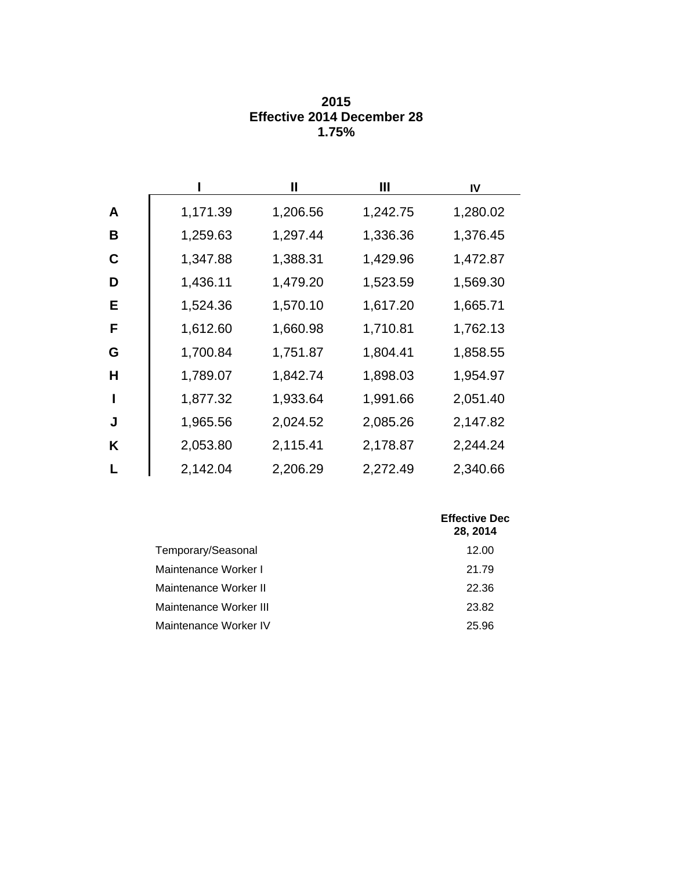|   |          | Ш        | Ш        | IV       |
|---|----------|----------|----------|----------|
| A | 1,171.39 | 1,206.56 | 1,242.75 | 1,280.02 |
| B | 1,259.63 | 1,297.44 | 1,336.36 | 1,376.45 |
| C | 1,347.88 | 1,388.31 | 1,429.96 | 1,472.87 |
| D | 1,436.11 | 1,479.20 | 1,523.59 | 1,569.30 |
| Е | 1,524.36 | 1,570.10 | 1,617.20 | 1,665.71 |
| F | 1,612.60 | 1,660.98 | 1,710.81 | 1,762.13 |
| G | 1,700.84 | 1,751.87 | 1,804.41 | 1,858.55 |
| н | 1,789.07 | 1,842.74 | 1,898.03 | 1,954.97 |
|   | 1,877.32 | 1,933.64 | 1,991.66 | 2,051.40 |
| J | 1,965.56 | 2,024.52 | 2,085.26 | 2,147.82 |
| K | 2,053.80 | 2,115.41 | 2,178.87 | 2,244.24 |
| L | 2,142.04 | 2,206.29 | 2,272.49 | 2,340.66 |

| 2015                              |
|-----------------------------------|
| <b>Effective 2014 December 28</b> |
| 1.75%                             |

|                        | <b>Effective Dec</b><br>28, 2014 |
|------------------------|----------------------------------|
| Temporary/Seasonal     | 12.00                            |
| Maintenance Worker I   | 21.79                            |
| Maintenance Worker II  | 22.36                            |
| Maintenance Worker III | 23.82                            |
| Maintenance Worker IV  | 25.96                            |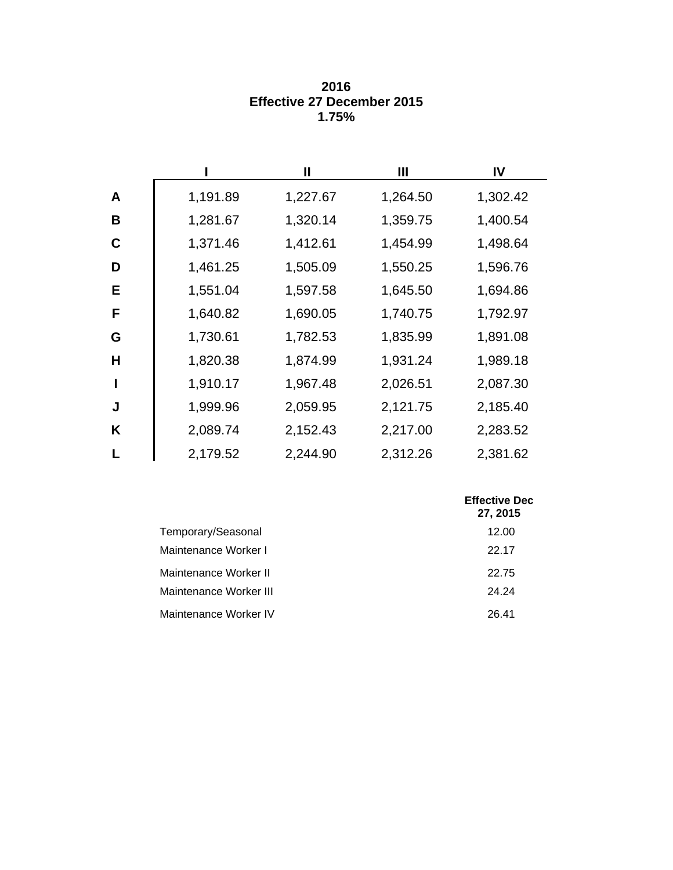|    |          | $\mathbf l$ | Ш        | IV       |
|----|----------|-------------|----------|----------|
| A  | 1,191.89 | 1,227.67    | 1,264.50 | 1,302.42 |
| B  | 1,281.67 | 1,320.14    | 1,359.75 | 1,400.54 |
| C  | 1,371.46 | 1,412.61    | 1,454.99 | 1,498.64 |
| D  | 1,461.25 | 1,505.09    | 1,550.25 | 1,596.76 |
| E. | 1,551.04 | 1,597.58    | 1,645.50 | 1,694.86 |
| F  | 1,640.82 | 1,690.05    | 1,740.75 | 1,792.97 |
| G  | 1,730.61 | 1,782.53    | 1,835.99 | 1,891.08 |
| Н  | 1,820.38 | 1,874.99    | 1,931.24 | 1,989.18 |
| ı  | 1,910.17 | 1,967.48    | 2,026.51 | 2,087.30 |
| J  | 1,999.96 | 2,059.95    | 2,121.75 | 2,185.40 |
| K  | 2,089.74 | 2,152.43    | 2,217.00 | 2,283.52 |
|    | 2,179.52 | 2,244.90    | 2,312.26 | 2,381.62 |

| 2016                              |
|-----------------------------------|
| <b>Effective 27 December 2015</b> |
| 1.75%                             |

|                        | <b>Effective Dec</b><br>27, 2015 |
|------------------------|----------------------------------|
| Temporary/Seasonal     | 12.00                            |
| Maintenance Worker I   | 22.17                            |
| Maintenance Worker II  | 22.75                            |
| Maintenance Worker III | 24.24                            |
| Maintenance Worker IV  | 26.41                            |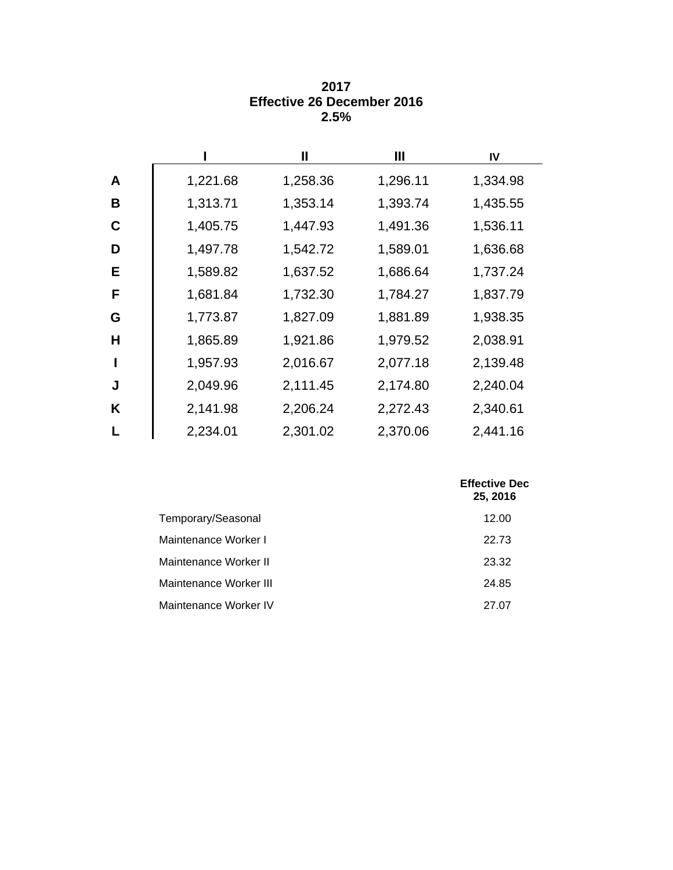|   |          | Ш        | Ш        | IV       |
|---|----------|----------|----------|----------|
| A | 1,221.68 | 1,258.36 | 1,296.11 | 1,334.98 |
| B | 1,313.71 | 1,353.14 | 1,393.74 | 1,435.55 |
| C | 1,405.75 | 1,447.93 | 1,491.36 | 1,536.11 |
| D | 1,497.78 | 1,542.72 | 1,589.01 | 1,636.68 |
| Е | 1,589.82 | 1,637.52 | 1,686.64 | 1,737.24 |
| F | 1,681.84 | 1,732.30 | 1,784.27 | 1,837.79 |
| G | 1,773.87 | 1,827.09 | 1,881.89 | 1,938.35 |
| H | 1,865.89 | 1,921.86 | 1,979.52 | 2,038.91 |
|   | 1,957.93 | 2,016.67 | 2,077.18 | 2,139.48 |
| J | 2,049.96 | 2,111.45 | 2,174.80 | 2,240.04 |
| Κ | 2,141.98 | 2,206.24 | 2,272.43 | 2,340.61 |
|   | 2,234.01 | 2,301.02 | 2,370.06 | 2,441.16 |

### **2017 Effective 26 December 2016 2.5%**

|                        | <b>Effective Dec</b><br>25, 2016 |
|------------------------|----------------------------------|
| Temporary/Seasonal     | 12.00                            |
| Maintenance Worker I   | 22.73                            |
| Maintenance Worker II  | 23.32                            |
| Maintenance Worker III | 24.85                            |
| Maintenance Worker IV  | 27.07                            |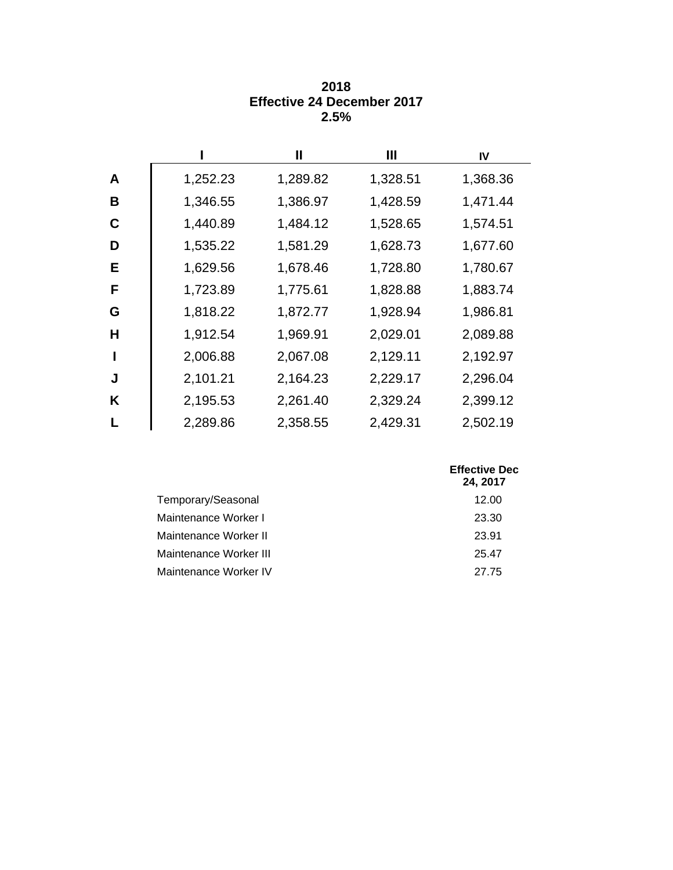|    |          | Ш        | Ш        | IV       |
|----|----------|----------|----------|----------|
| A  | 1,252.23 | 1,289.82 | 1,328.51 | 1,368.36 |
| B  | 1,346.55 | 1,386.97 | 1,428.59 | 1,471.44 |
| C  | 1,440.89 | 1,484.12 | 1,528.65 | 1,574.51 |
| D  | 1,535.22 | 1,581.29 | 1,628.73 | 1,677.60 |
| E. | 1,629.56 | 1,678.46 | 1,728.80 | 1,780.67 |
| F  | 1,723.89 | 1,775.61 | 1,828.88 | 1,883.74 |
| G  | 1,818.22 | 1,872.77 | 1,928.94 | 1,986.81 |
| н  | 1,912.54 | 1,969.91 | 2,029.01 | 2,089.88 |
|    | 2,006.88 | 2,067.08 | 2,129.11 | 2,192.97 |
| J  | 2,101.21 | 2,164.23 | 2,229.17 | 2,296.04 |
| K  | 2,195.53 | 2,261.40 | 2,329.24 | 2,399.12 |
|    | 2,289.86 | 2,358.55 | 2,429.31 | 2,502.19 |

#### **2018 Effective 24 December 2017 2.5%**

|                        | <b>Effective Dec</b><br>24, 2017 |
|------------------------|----------------------------------|
| Temporary/Seasonal     | 12.00                            |
| Maintenance Worker I   | 23.30                            |
| Maintenance Worker II  | 23.91                            |
| Maintenance Worker III | 25.47                            |
| Maintenance Worker IV  | 27.75                            |